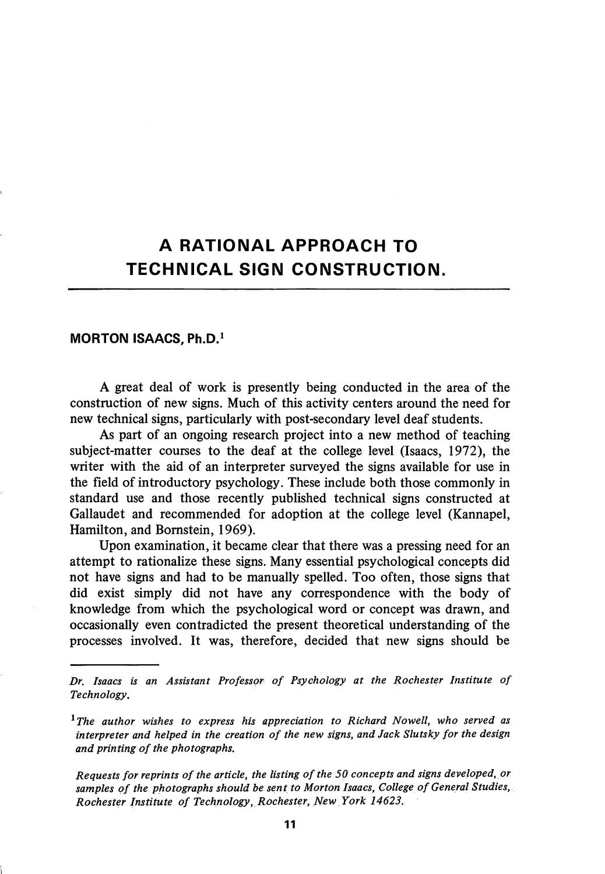## A RATIONAL APPROACH TO TECHNICAL SIGN CONSTRUCTION.

## MORTON ISAACS, Ph.D.'

A great deal of work is presently being conducted in the area of the construction of new signs. Much of this activity centers around the need for new technical signs, particularly with post-secondary level deaf students.

As part of an ongoing research project into a new method of teaching subject-matter courses to the deaf at the college level (Isaacs, 1972), the writer with the aid of an interpreter surveyed the signs available for use in the field of introductory psychology. These include both those commonly in standard use and those recently published technical signs constructed at Gallaudet and recommended for adoption at the college level (Kannapel, Hamilton, and Bomstein, 1969).

Upon examination, it became clear that there was a pressing need for an attempt to rationalize these signs. Many essential psychological concepts did not have signs and had to be manually spelled. Too often, those signs that did exist simply did not have any correspondence with the body of knowledge from which the psychological word or concept was drawn, and occasionally even contradicted the present theoretical understanding of the processes involved. It was, therefore, decided that new signs should be

Requests for reprints of the article, the listing of the 50 concepts and signs developed, or samples of the photographs should be sent to Morton Isaacs, College of General Studies, Rochester Institute of Technology, Rochester, New York 14623.

Dr. Isaacs is an Assistant Professor of Psychology at the Rochester Institute of Technology.

 $^1$ The author wishes to express his appreciation to Richard Nowell, who served as interpreter and helped in the creation of the new signs, and Jack Slutsky for the design and printing of the photographs.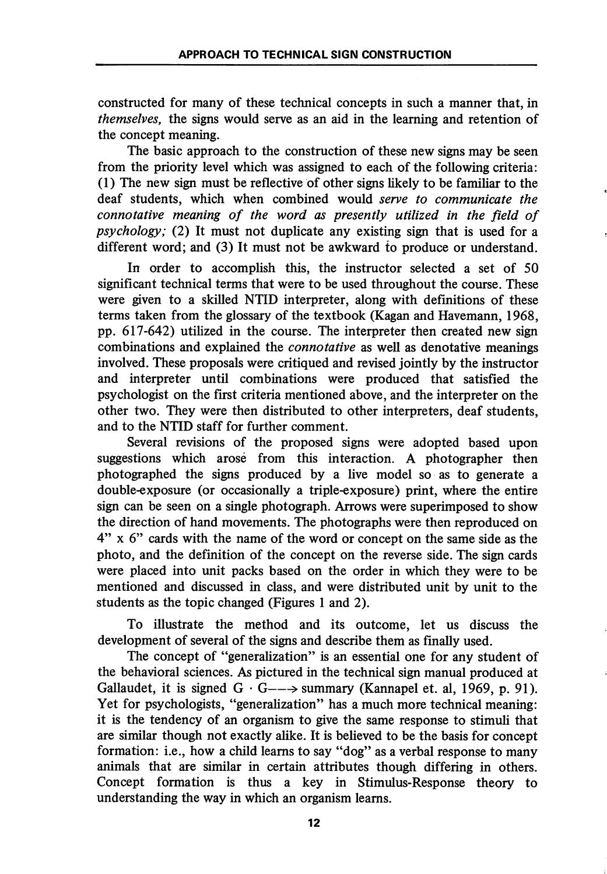constructed for many of these technical concepts in such a manner that, in themselves, the signs would serve as an aid in the learning and retention of the concept meaning.

The basic approach to the construction of these new signs may be seen from the priority level which was assigned to each of the following criteria: (1) The new sign must be reflective of other signs likely to be familiar to the deaf students, which when combined would serve to communicate the connotative meaning of the word as presently utilized in the field of psychology; (2) It must not duplicate any existing sign that is used for a different word; and (3) It must not be awkward to produce or understand.

In order to accomplish this, the instructor selected a set of 50 significant technical terms that were to be used throughout the course. These were given to a skilled NTID interpreter, along with definitions of these terms taken from the glossary of the textbook (Kagan and Havemann, 1968, pp. 617-642) utilized in the course. The interpreter then created new sign combinations and explained the connotative as well as denotative meanings involved. These proposals were critiqued and revised jointly by the instructor and interpreter until combinations were produced that satisfied the psychologist on the first criteria mentioned above, and the interpreter on the other two. They were then distributed to other interpreters, deaf students, and to the NTID staff for further comment.

Several revisions of the proposed signs were adopted based upon suggestions which arose from this interaction. A photographer then photographed the signs produced by a live model so as to generate a double-exposure (or occasionally a triple-exposure) print, where the entire sign can be seen on a single photograph. Arrows were superimposed to show the direction of hand movements. The photographs were then reproduced on 4" X 6" cards with the name of the word or concept on the same side as the photo, and the definition of the concept on the reverse side. The sign cards were placed into unit packs based on the order in which they were to be mentioned and discussed in class, and were distributed unit by unit to the students as the topic changed (Figures 1 and 2).

To illustrate the method and its outcome, let us discuss the development of several of the signs and describe them as finally used.

The concept of "generalization" is an essential one for any student of the behavioral sciences. As pictured in the technical sign manual produced at Gallaudet, it is signed  $G \cdot G \rightarrow \text{summary}$  (Kannapel et. al, 1969, p. 91). Yet for psychologists, "generalization" has a much more technical meaning: it is the tendency of an organism to give the same response to stimuli that are similar though not exactly alike. It is believed to be the basis for concept formation: i.e., how a child leams to say "dog" as a verbal response to many animals that are similar in certain attributes though differing in others. Concept formation is thus a key in Stimulus-Response theory to understanding the way in which an organism leams.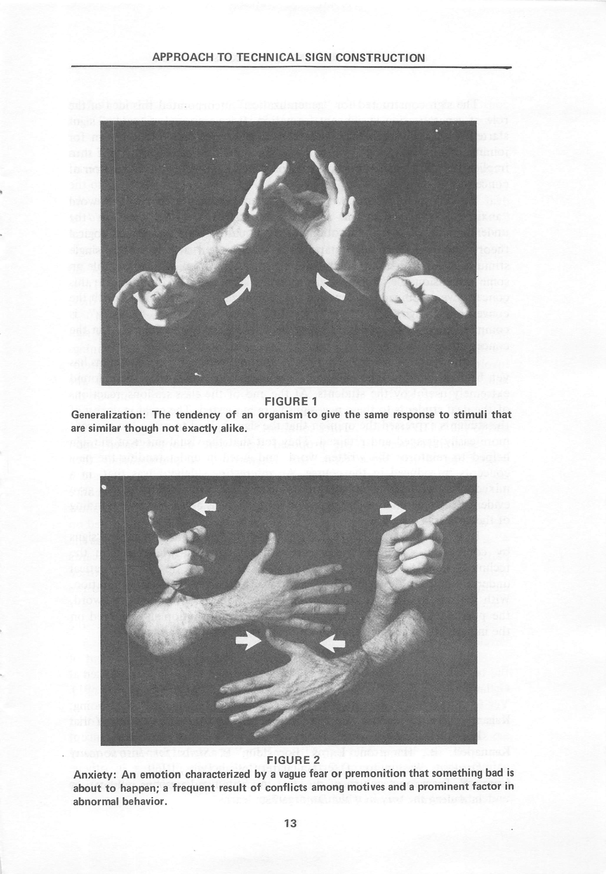

FIGURE 1

Generalization: The tendency of an organism to give the same response to stimuli that are similar though not exactly alike.



## FIGURE 2

Anxiety: An emotion characterized by a vague fear or premonition that something bad is about to happen; a frequent result of conflicts among motives and a prominent factor in abnormal behavior.